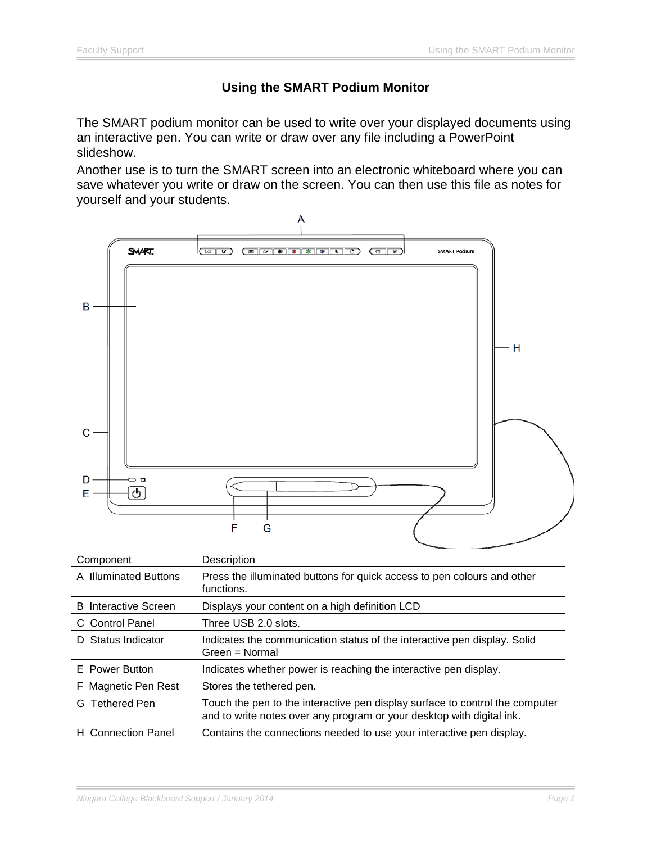# **Using the SMART Podium Monitor**

The SMART podium monitor can be used to write over your displayed documents using an interactive pen. You can write or draw over any file including a PowerPoint slideshow.

Another use is to turn the SMART screen into an electronic whiteboard where you can save whatever you write or draw on the screen. You can then use this file as notes for yourself and your students.



| Component                   | Description                                                                                                                                           |
|-----------------------------|-------------------------------------------------------------------------------------------------------------------------------------------------------|
| A Illuminated Buttons       | Press the illuminated buttons for quick access to pen colours and other<br>functions.                                                                 |
| <b>B</b> Interactive Screen | Displays your content on a high definition LCD                                                                                                        |
| C Control Panel             | Three USB 2.0 slots.                                                                                                                                  |
| D Status Indicator          | Indicates the communication status of the interactive pen display. Solid<br>Green = Normal                                                            |
| E Power Button              | Indicates whether power is reaching the interactive pen display.                                                                                      |
| F Magnetic Pen Rest         | Stores the tethered pen.                                                                                                                              |
| G Tethered Pen              | Touch the pen to the interactive pen display surface to control the computer<br>and to write notes over any program or your desktop with digital ink. |
| H Connection Panel          | Contains the connections needed to use your interactive pen display.                                                                                  |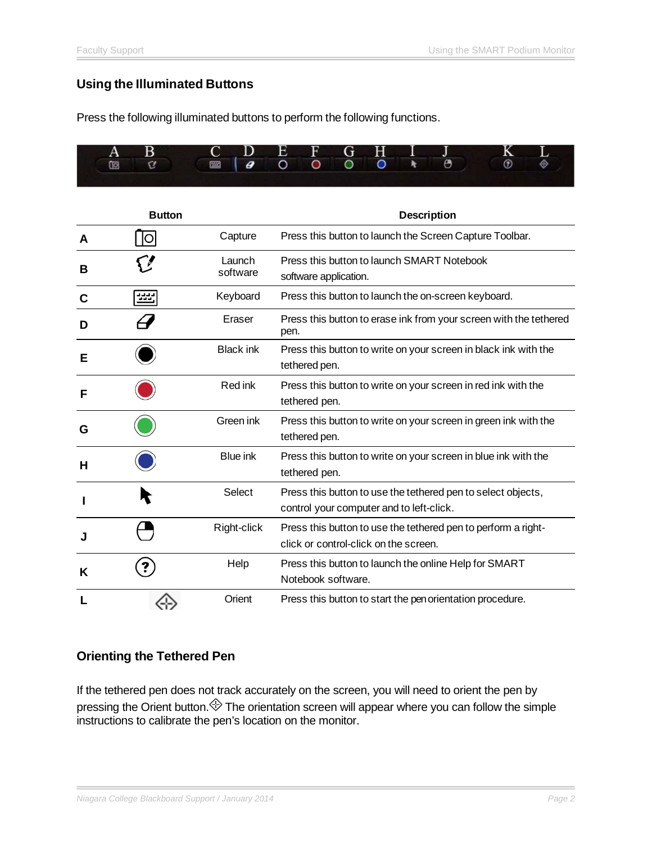## **Using the Illuminated Buttons**

Press the following illuminated buttons to perform the following functions.



|   | <b>Button</b> |                    | <b>Description</b>                                                                                       |
|---|---------------|--------------------|----------------------------------------------------------------------------------------------------------|
| A | <b>O</b>      | Capture            | Press this button to launch the Screen Capture Toolbar.                                                  |
| в |               | Launch<br>software | Press this button to launch SMART Notebook<br>software application.                                      |
| C | ss:           | Keyboard           | Press this button to launch the on-screen keyboard.                                                      |
| D |               | Eraser             | Press this button to erase ink from your screen with the tethered<br>pen.                                |
| Е |               | <b>Black ink</b>   | Press this button to write on your screen in black ink with the<br>tethered pen.                         |
| F |               | Red ink            | Press this button to write on your screen in red ink with the<br>tethered pen.                           |
| G |               | Green ink          | Press this button to write on your screen in green ink with the<br>tethered pen.                         |
| н |               | <b>Blue ink</b>    | Press this button to write on your screen in blue ink with the<br>tethered pen.                          |
|   |               | Select             | Press this button to use the tethered pen to select objects,<br>control your computer and to left-click. |
|   |               | Right-click        | Press this button to use the tethered pen to perform a right-<br>click or control-click on the screen.   |
| Κ |               | Help               | Press this button to launch the online Help for SMART<br>Notebook software.                              |
|   |               | Orient             | Press this button to start the pen orientation procedure.                                                |

### **Orienting the Tethered Pen**

If the tethered pen does not track accurately on the screen, you will need to orient the pen by pressing the Orient button. $\Leftrightarrow$  The orientation screen will appear where you can follow the simple instructions to calibrate the pen's location on the monitor.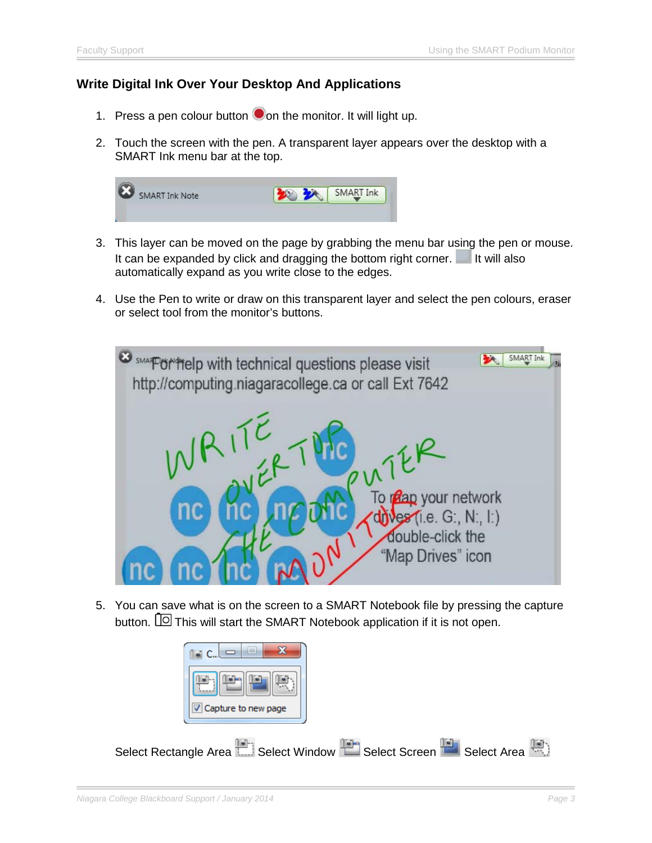## **Write Digital Ink Over Your Desktop And Applications**

- 1. Press a pen colour button  $\bullet$  on the monitor. It will light up.
- 2. Touch the screen with the pen. A transparent layer appears over the desktop with a SMART Ink menu bar at the top.



- 3. This layer can be moved on the page by grabbing the menu bar using the pen or mouse. It can be expanded by click and dragging the bottom right corner.  $\blacksquare$  It will also automatically expand as you write close to the edges.
- 4. Use the Pen to write or draw on this transparent layer and select the pen colours, eraser or select tool from the monitor's buttons.



5. You can save what is on the screen to a SMART Notebook file by pressing the capture button.  $\Box$  This will start the SMART Notebook application if it is not open.

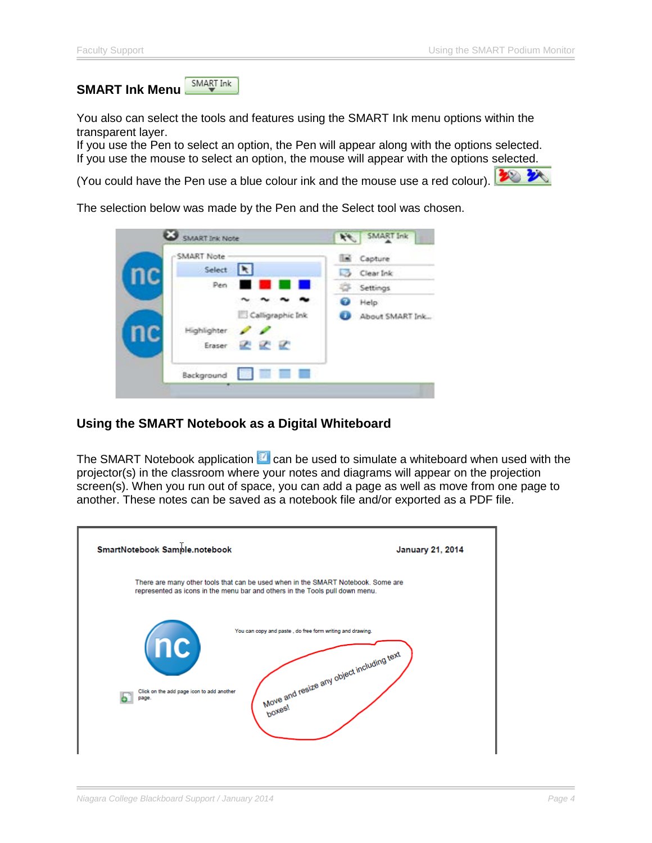SMART Ink **SMART Ink Menu**

You also can select the tools and features using the SMART Ink menu options within the transparent layer.

If you use the Pen to select an option, the Pen will appear along with the options selected. If you use the mouse to select an option, the mouse will appear with the options selected.

(You could have the Pen use a blue colour ink and the mouse use a red colour).



The selection below was made by the Pen and the Select tool was chosen.

| SMART Ink Note      | AL SMART Ink      |
|---------------------|-------------------|
| -SMART Note         | <b>Em</b> Capture |
| Select   R          | Clear Ink         |
| Pen -               | Settings          |
|                     | Help<br>ο         |
| Calligraphic Ink    | About SMART Ink   |
| Highlighter P       |                   |
| Eraser & &          |                   |
| 图 计二三<br>Background |                   |

## **Using the SMART Notebook as a Digital Whiteboard**

The SMART Notebook application  $\blacksquare$  can be used to simulate a whiteboard when used with the projector(s) in the classroom where your notes and diagrams will appear on the projection screen(s). When you run out of space, you can add a page as well as move from one page to another. These notes can be saved as a notebook file and/or exported as a PDF file.